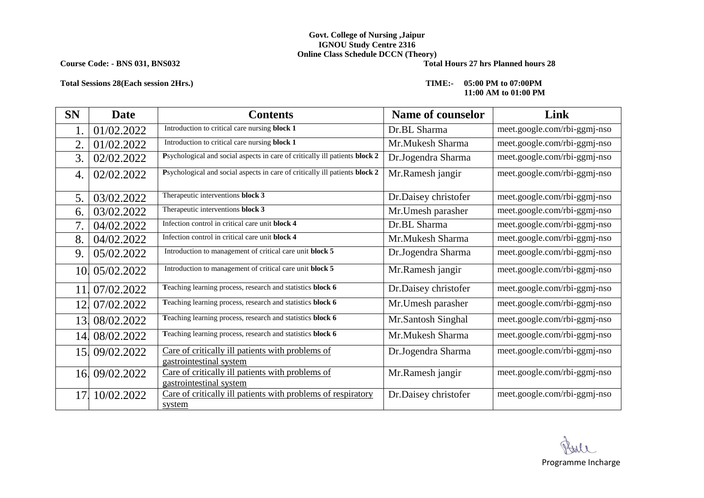## **Govt. College of Nursing ,Jaipur IGNOU Study Centre 2316 Online Class Schedule DCCN** (Theory)<br>Total Hours 27 hrs Planned hours 28

**Course Code: - BNS 031, BNS032** 

### **Total Sessions 28(Each session 2Hrs.) TIME:- 05:00 PM to 07:00PM**

# **11:00 AM to 01:00 PM**

| <b>SN</b> | <b>Date</b>    | <b>Contents</b>                                                             | Name of counselor    | Link                         |
|-----------|----------------|-----------------------------------------------------------------------------|----------------------|------------------------------|
|           | 01/02.2022     | Introduction to critical care nursing block 1                               | Dr.BL Sharma         | meet.google.com/rbi-ggmj-nso |
| 2.        | 01/02.2022     | Introduction to critical care nursing block 1                               | Mr.Mukesh Sharma     | meet.google.com/rbi-ggmj-nso |
| 3.        | 02/02.2022     | Psychological and social aspects in care of critically ill patients block 2 | Dr.Jogendra Sharma   | meet.google.com/rbi-ggmj-nso |
| 4.        | 02/02.2022     | Psychological and social aspects in care of critically ill patients block 2 | Mr.Ramesh jangir     | meet.google.com/rbi-ggmj-nso |
| 5.        | 03/02.2022     | Therapeutic interventions block 3                                           | Dr.Daisey christofer | meet.google.com/rbi-ggmj-nso |
| 6.        | 03/02.2022     | Therapeutic interventions block 3                                           | Mr.Umesh parasher    | meet.google.com/rbi-ggmj-nso |
| 7.        | 04/02.2022     | Infection control in critical care unit block 4                             | Dr.BL Sharma         | meet.google.com/rbi-ggmj-nso |
| 8.        | 04/02.2022     | Infection control in critical care unit block 4                             | Mr.Mukesh Sharma     | meet.google.com/rbi-ggmj-nso |
| 9.        | 05/02.2022     | Introduction to management of critical care unit block 5                    | Dr.Jogendra Sharma   | meet.google.com/rbi-ggmj-nso |
|           | 10. 05/02.2022 | Introduction to management of critical care unit block 5                    | Mr.Ramesh jangir     | meet.google.com/rbi-ggmj-nso |
| 11        | 07/02.2022     | Teaching learning process, research and statistics block 6                  | Dr.Daisey christofer | meet.google.com/rbi-ggmj-nso |
| 12        | 07/02.2022     | Teaching learning process, research and statistics block 6                  | Mr. Umesh parasher   | meet.google.com/rbi-ggmj-nso |
| 13.       | 08/02.2022     | Teaching learning process, research and statistics block 6                  | Mr.Santosh Singhal   | meet.google.com/rbi-ggmj-nso |
| 14.       | 08/02.2022     | Teaching learning process, research and statistics block 6                  | Mr.Mukesh Sharma     | meet.google.com/rbi-ggmj-nso |
| 15.       | 09/02.2022     | Care of critically ill patients with problems of<br>gastrointestinal system | Dr.Jogendra Sharma   | meet.google.com/rbi-ggmj-nso |
|           | 16.09/02.2022  | Care of critically ill patients with problems of<br>gastrointestinal system | Mr.Ramesh jangir     | meet.google.com/rbi-ggmj-nso |
| 17.       | 10/02.2022     | Care of critically ill patients with problems of respiratory<br>system      | Dr.Daisey christofer | meet.google.com/rbi-ggmj-nso |

Programme Incharge